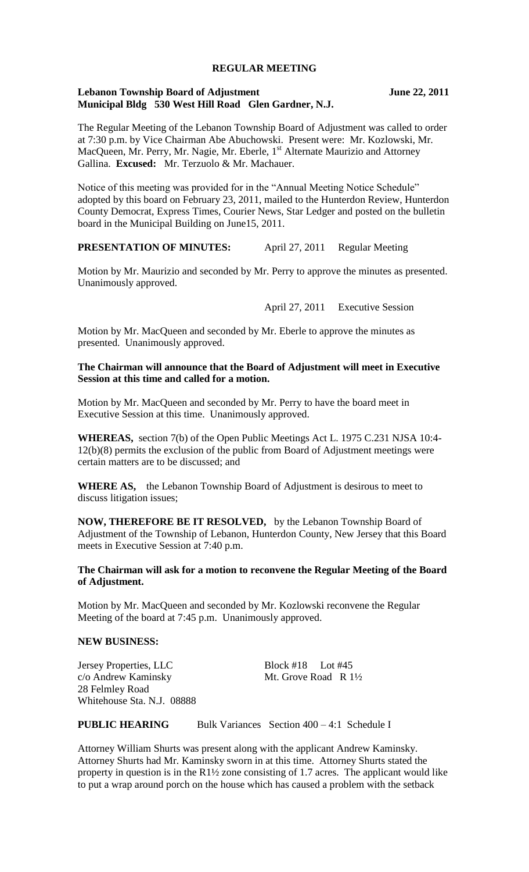### **REGULAR MEETING**

### **Lebanon Township Board of Adjustment June 22, 2011 Municipal Bldg 530 West Hill Road Glen Gardner, N.J.**

The Regular Meeting of the Lebanon Township Board of Adjustment was called to order at 7:30 p.m. by Vice Chairman Abe Abuchowski. Present were: Mr. Kozlowski, Mr. MacQueen, Mr. Perry, Mr. Nagie, Mr. Eberle, 1<sup>st</sup> Alternate Maurizio and Attorney Gallina. **Excused:** Mr. Terzuolo & Mr. Machauer.

Notice of this meeting was provided for in the "Annual Meeting Notice Schedule" adopted by this board on February 23, 2011, mailed to the Hunterdon Review, Hunterdon County Democrat, Express Times, Courier News, Star Ledger and posted on the bulletin board in the Municipal Building on June15, 2011.

# **PRESENTATION OF MINUTES:** April 27, 2011 Regular Meeting

Motion by Mr. Maurizio and seconded by Mr. Perry to approve the minutes as presented. Unanimously approved.

April 27, 2011 Executive Session

Motion by Mr. MacQueen and seconded by Mr. Eberle to approve the minutes as presented. Unanimously approved.

## **The Chairman will announce that the Board of Adjustment will meet in Executive Session at this time and called for a motion.**

Motion by Mr. MacQueen and seconded by Mr. Perry to have the board meet in Executive Session at this time. Unanimously approved.

**WHEREAS,** section 7(b) of the Open Public Meetings Act L. 1975 C.231 NJSA 10:4- 12(b)(8) permits the exclusion of the public from Board of Adjustment meetings were certain matters are to be discussed; and

WHERE AS, the Lebanon Township Board of Adjustment is desirous to meet to discuss litigation issues;

**NOW, THEREFORE BE IT RESOLVED,** by the Lebanon Township Board of Adjustment of the Township of Lebanon, Hunterdon County, New Jersey that this Board meets in Executive Session at 7:40 p.m.

#### **The Chairman will ask for a motion to reconvene the Regular Meeting of the Board of Adjustment.**

Motion by Mr. MacQueen and seconded by Mr. Kozlowski reconvene the Regular Meeting of the board at 7:45 p.m. Unanimously approved.

#### **NEW BUSINESS:**

Jersey Properties, LLC Block #18 Lot #45 c/o Andrew Kaminsky Mt. Grove Road R  $1\frac{1}{2}$ 28 Felmley Road Whitehouse Sta. N.J. 08888

**PUBLIC HEARING** Bulk Variances Section 400 – 4:1 Schedule I

Attorney William Shurts was present along with the applicant Andrew Kaminsky. Attorney Shurts had Mr. Kaminsky sworn in at this time. Attorney Shurts stated the property in question is in the R1½ zone consisting of 1.7 acres. The applicant would like to put a wrap around porch on the house which has caused a problem with the setback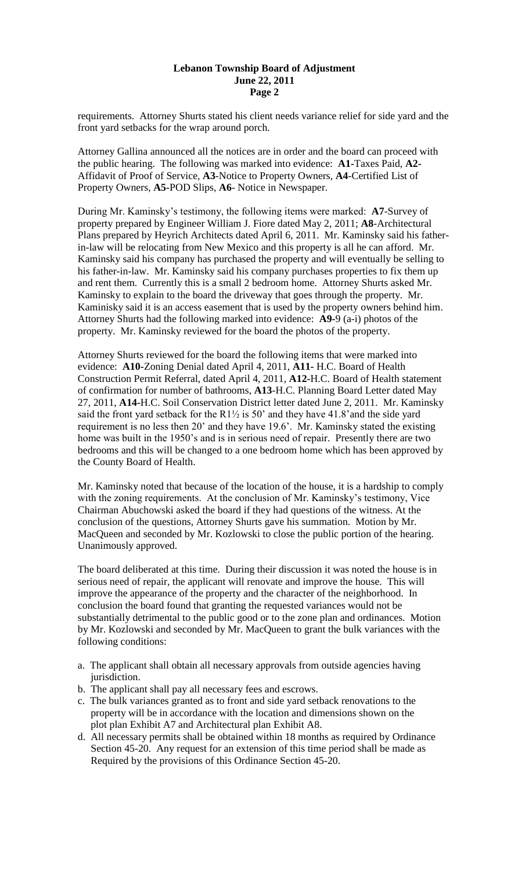### **Lebanon Township Board of Adjustment June 22, 2011 Page 2**

requirements. Attorney Shurts stated his client needs variance relief for side yard and the front yard setbacks for the wrap around porch.

Attorney Gallina announced all the notices are in order and the board can proceed with the public hearing. The following was marked into evidence: **A1-**Taxes Paid, **A2-** Affidavit of Proof of Service, **A3**-Notice to Property Owners, **A4**-Certified List of Property Owners, **A5-**POD Slips, **A6**- Notice in Newspaper.

During Mr. Kaminsky's testimony, the following items were marked: **A7**-Survey of property prepared by Engineer William J. Fiore dated May 2, 2011; **A8**-Architectural Plans prepared by Heyrich Architects dated April 6, 2011. Mr. Kaminsky said his fatherin-law will be relocating from New Mexico and this property is all he can afford. Mr. Kaminsky said his company has purchased the property and will eventually be selling to his father-in-law. Mr. Kaminsky said his company purchases properties to fix them up and rent them. Currently this is a small 2 bedroom home. Attorney Shurts asked Mr. Kaminsky to explain to the board the driveway that goes through the property. Mr. Kaminisky said it is an access easement that is used by the property owners behind him. Attorney Shurts had the following marked into evidence: **A9-**9 (a-i) photos of the property. Mr. Kaminsky reviewed for the board the photos of the property.

Attorney Shurts reviewed for the board the following items that were marked into evidence: **A10-**Zoning Denial dated April 4, 2011, **A11-** H.C. Board of Health Construction Permit Referral, dated April 4, 2011, **A12-**H.C. Board of Health statement of confirmation for number of bathrooms, **A13**-H.C. Planning Board Letter dated May 27, 2011, **A14-**H.C. Soil Conservation District letter dated June 2, 2011. Mr. Kaminsky said the front yard setback for the R1 $\frac{1}{2}$  is 50' and they have 41.8' and the side yard requirement is no less then 20' and they have 19.6'. Mr. Kaminsky stated the existing home was built in the 1950's and is in serious need of repair. Presently there are two bedrooms and this will be changed to a one bedroom home which has been approved by the County Board of Health.

Mr. Kaminsky noted that because of the location of the house, it is a hardship to comply with the zoning requirements. At the conclusion of Mr. Kaminsky's testimony, Vice Chairman Abuchowski asked the board if they had questions of the witness. At the conclusion of the questions, Attorney Shurts gave his summation. Motion by Mr. MacQueen and seconded by Mr. Kozlowski to close the public portion of the hearing. Unanimously approved.

The board deliberated at this time. During their discussion it was noted the house is in serious need of repair, the applicant will renovate and improve the house. This will improve the appearance of the property and the character of the neighborhood. In conclusion the board found that granting the requested variances would not be substantially detrimental to the public good or to the zone plan and ordinances. Motion by Mr. Kozlowski and seconded by Mr. MacQueen to grant the bulk variances with the following conditions:

- a. The applicant shall obtain all necessary approvals from outside agencies having jurisdiction.
- b. The applicant shall pay all necessary fees and escrows.
- c. The bulk variances granted as to front and side yard setback renovations to the property will be in accordance with the location and dimensions shown on the plot plan Exhibit A7 and Architectural plan Exhibit A8.
- d. All necessary permits shall be obtained within 18 months as required by Ordinance Section 45-20. Any request for an extension of this time period shall be made as Required by the provisions of this Ordinance Section 45-20.